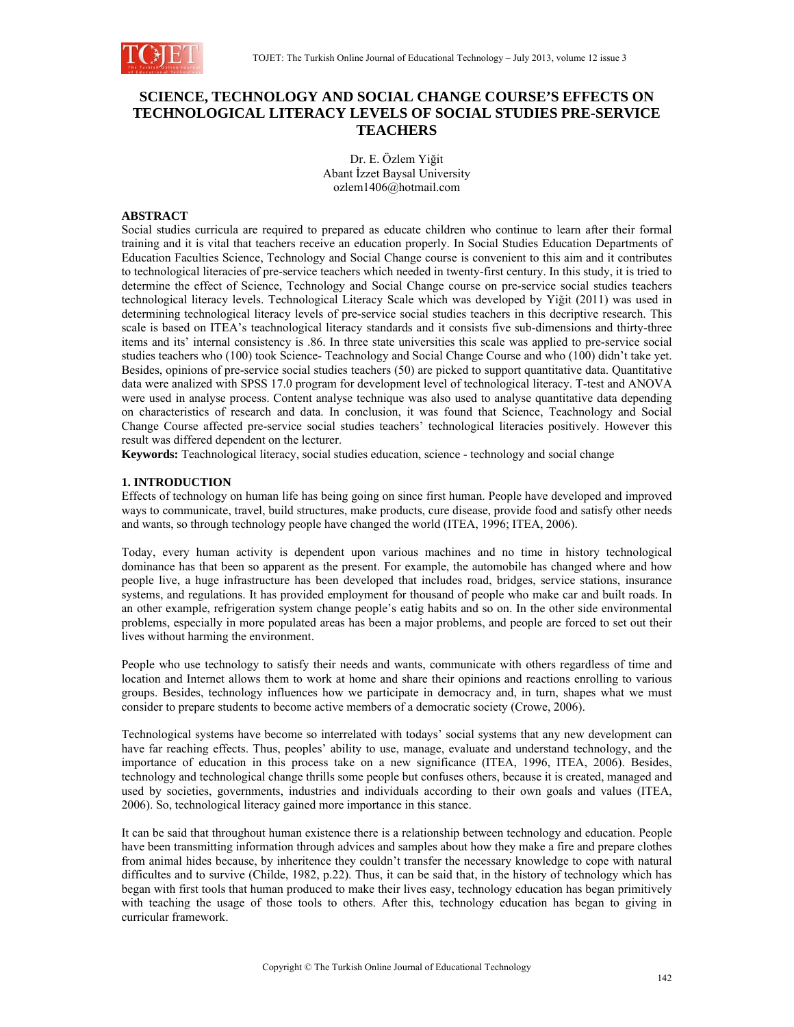

## **SCIENCE, TECHNOLOGY AND SOCIAL CHANGE COURSE'S EFFECTS ON TECHNOLOGICAL LITERACY LEVELS OF SOCIAL STUDIES PRE-SERVICE TEACHERS**

Dr. E. Özlem Yiğit Abant İzzet Baysal University ozlem1406@hotmail.com

## **ABSTRACT**

Social studies curricula are required to prepared as educate children who continue to learn after their formal training and it is vital that teachers receive an education properly. In Social Studies Education Departments of Education Faculties Science, Technology and Social Change course is convenient to this aim and it contributes to technological literacies of pre-service teachers which needed in twenty-first century. In this study, it is tried to determine the effect of Science, Technology and Social Change course on pre-service social studies teachers technological literacy levels. Technological Literacy Scale which was developed by Yiğit (2011) was used in determining technological literacy levels of pre-service social studies teachers in this decriptive research. This scale is based on ITEA's teachnological literacy standards and it consists five sub-dimensions and thirty-three items and its' internal consistency is .86. In three state universities this scale was applied to pre-service social studies teachers who (100) took Science- Teachnology and Social Change Course and who (100) didn't take yet. Besides, opinions of pre-service social studies teachers (50) are picked to support quantitative data. Quantitative data were analized with SPSS 17.0 program for development level of technological literacy. T-test and ANOVA were used in analyse process. Content analyse technique was also used to analyse quantitative data depending on characteristics of research and data. In conclusion, it was found that Science, Teachnology and Social Change Course affected pre-service social studies teachers' technological literacies positively. However this result was differed dependent on the lecturer.

**Keywords:** Teachnological literacy, social studies education, science - technology and social change

## **1. INTRODUCTION**

Effects of technology on human life has being going on since first human. People have developed and improved ways to communicate, travel, build structures, make products, cure disease, provide food and satisfy other needs and wants, so through technology people have changed the world (ITEA, 1996; ITEA, 2006).

Today, every human activity is dependent upon various machines and no time in history technological dominance has that been so apparent as the present. For example, the automobile has changed where and how people live, a huge infrastructure has been developed that includes road, bridges, service stations, insurance systems, and regulations. It has provided employment for thousand of people who make car and built roads. In an other example, refrigeration system change people's eatig habits and so on. In the other side environmental problems, especially in more populated areas has been a major problems, and people are forced to set out their lives without harming the environment.

People who use technology to satisfy their needs and wants, communicate with others regardless of time and location and Internet allows them to work at home and share their opinions and reactions enrolling to various groups. Besides, technology influences how we participate in democracy and, in turn, shapes what we must consider to prepare students to become active members of a democratic society (Crowe, 2006).

Technological systems have become so interrelated with todays' social systems that any new development can have far reaching effects. Thus, peoples' ability to use, manage, evaluate and understand technology, and the importance of education in this process take on a new significance (ITEA, 1996, ITEA, 2006). Besides, technology and technological change thrills some people but confuses others, because it is created, managed and used by societies, governments, industries and individuals according to their own goals and values (ITEA, 2006). So, technological literacy gained more importance in this stance.

It can be said that throughout human existence there is a relationship between technology and education. People have been transmitting information through advices and samples about how they make a fire and prepare clothes from animal hides because, by inheritence they couldn't transfer the necessary knowledge to cope with natural difficultes and to survive (Childe, 1982, p.22). Thus, it can be said that, in the history of technology which has began with first tools that human produced to make their lives easy, technology education has began primitively with teaching the usage of those tools to others. After this, technology education has began to giving in curricular framework.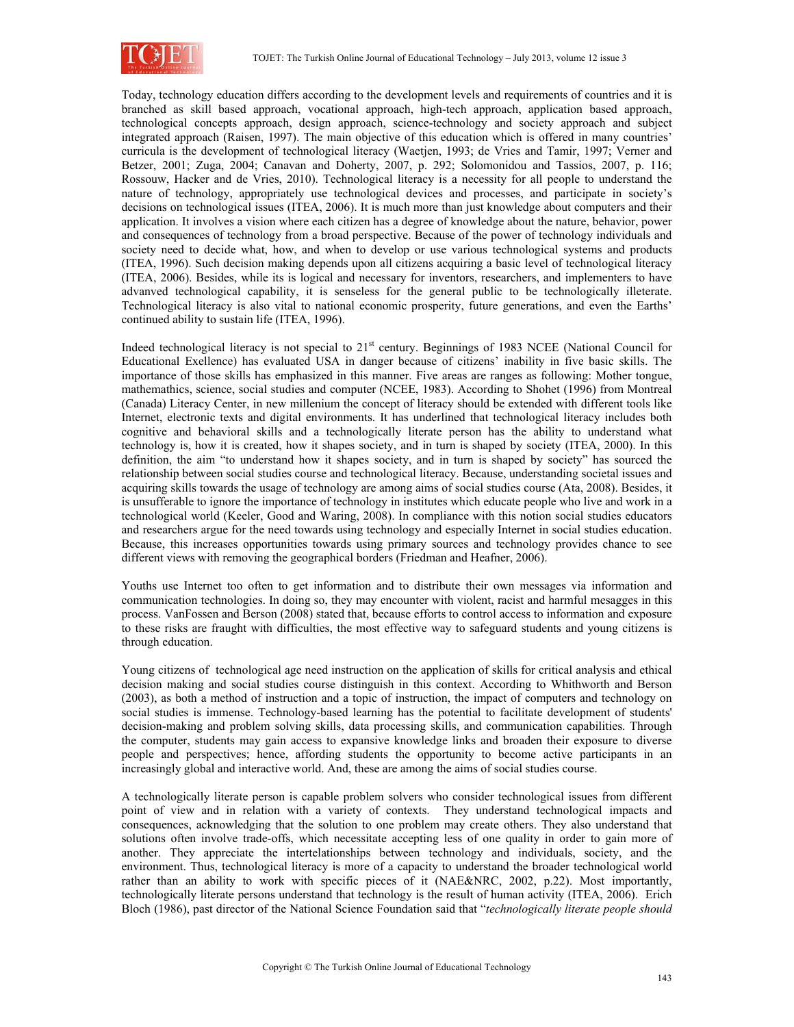

Today, technology education differs according to the development levels and requirements of countries and it is branched as skill based approach, vocational approach, high-tech approach, application based approach, technological concepts approach, design approach, science-technology and society approach and subject integrated approach (Raisen, 1997). The main objective of this education which is offered in many countries' curricula is the development of technological literacy (Waetjen, 1993; de Vries and Tamir, 1997; Verner and Betzer, 2001; Zuga, 2004; Canavan and Doherty, 2007, p. 292; Solomonidou and Tassios, 2007, p. 116; Rossouw, Hacker and de Vries, 2010). Technological literacy is a necessity for all people to understand the nature of technology, appropriately use technological devices and processes, and participate in society's decisions on technological issues (ITEA, 2006). It is much more than just knowledge about computers and their application. It involves a vision where each citizen has a degree of knowledge about the nature, behavior, power and consequences of technology from a broad perspective. Because of the power of technology individuals and society need to decide what, how, and when to develop or use various technological systems and products (ITEA, 1996). Such decision making depends upon all citizens acquiring a basic level of technological literacy (ITEA, 2006). Besides, while its is logical and necessary for inventors, researchers, and implementers to have advanved technological capability, it is senseless for the general public to be technologically illeterate. Technological literacy is also vital to national economic prosperity, future generations, and even the Earths' continued ability to sustain life (ITEA, 1996).

Indeed technological literacy is not special to 21<sup>st</sup> century. Beginnings of 1983 NCEE (National Council for Educational Exellence) has evaluated USA in danger because of citizens' inability in five basic skills. The importance of those skills has emphasized in this manner. Five areas are ranges as following: Mother tongue, mathemathics, science, social studies and computer (NCEE, 1983). According to Shohet (1996) from Montreal (Canada) Literacy Center, in new millenium the concept of literacy should be extended with different tools like Internet, electronic texts and digital environments. It has underlined that technological literacy includes both cognitive and behavioral skills and a technologically literate person has the ability to understand what technology is, how it is created, how it shapes society, and in turn is shaped by society (ITEA, 2000). In this definition, the aim "to understand how it shapes society, and in turn is shaped by society" has sourced the relationship between social studies course and technological literacy. Because, understanding societal issues and acquiring skills towards the usage of technology are among aims of social studies course (Ata, 2008). Besides, it is unsufferable to ignore the importance of technology in institutes which educate people who live and work in a technological world (Keeler, Good and Waring, 2008). In compliance with this notion social studies educators and researchers argue for the need towards using technology and especially Internet in social studies education. Because, this increases opportunities towards using primary sources and technology provides chance to see different views with removing the geographical borders (Friedman and Heafner, 2006).

Youths use Internet too often to get information and to distribute their own messages via information and communication technologies. In doing so, they may encounter with violent, racist and harmful mesagges in this process. VanFossen and Berson (2008) stated that, because efforts to control access to information and exposure to these risks are fraught with difficulties, the most effective way to safeguard students and young citizens is through education.

Young citizens of technological age need instruction on the application of skills for critical analysis and ethical decision making and social studies course distinguish in this context. According to Whithworth and Berson (2003), as both a method of instruction and a topic of instruction, the impact of computers and technology on social studies is immense. Technology-based learning has the potential to facilitate development of students' decision-making and problem solving skills, data processing skills, and communication capabilities. Through the computer, students may gain access to expansive knowledge links and broaden their exposure to diverse people and perspectives; hence, affording students the opportunity to become active participants in an increasingly global and interactive world. And, these are among the aims of social studies course.

A technologically literate person is capable problem solvers who consider technological issues from different point of view and in relation with a variety of contexts. They understand technological impacts and consequences, acknowledging that the solution to one problem may create others. They also understand that solutions often involve trade-offs, which necessitate accepting less of one quality in order to gain more of another. They appreciate the intertelationships between technology and individuals, society, and the environment. Thus, technological literacy is more of a capacity to understand the broader technological world rather than an ability to work with specific pieces of it (NAE&NRC, 2002, p.22). Most importantly, technologically literate persons understand that technology is the result of human activity (ITEA, 2006). Erich Bloch (1986), past director of the National Science Foundation said that "*technologically literate people should*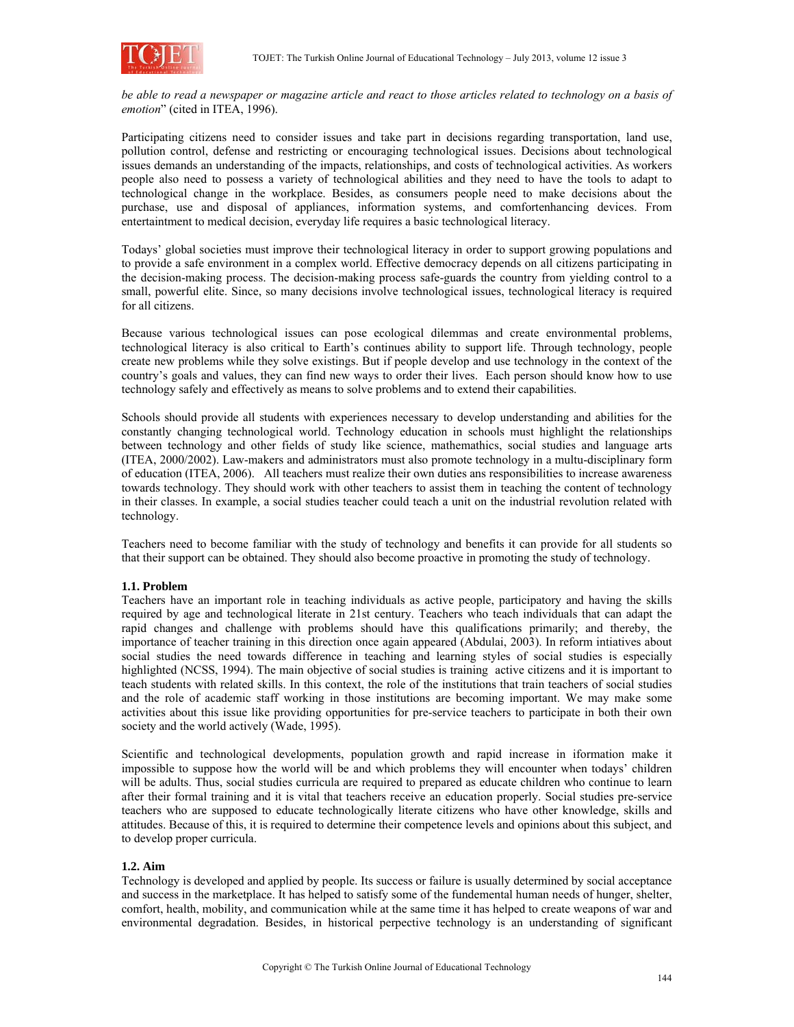*be able to read a newspaper or magazine article and react to those articles related to technology on a basis of emotion*" (cited in ITEA, 1996).

Participating citizens need to consider issues and take part in decisions regarding transportation, land use, pollution control, defense and restricting or encouraging technological issues. Decisions about technological issues demands an understanding of the impacts, relationships, and costs of technological activities. As workers people also need to possess a variety of technological abilities and they need to have the tools to adapt to technological change in the workplace. Besides, as consumers people need to make decisions about the purchase, use and disposal of appliances, information systems, and comfortenhancing devices. From entertaintment to medical decision, everyday life requires a basic technological literacy.

Todays' global societies must improve their technological literacy in order to support growing populations and to provide a safe environment in a complex world. Effective democracy depends on all citizens participating in the decision-making process. The decision-making process safe-guards the country from yielding control to a small, powerful elite. Since, so many decisions involve technological issues, technological literacy is required for all citizens.

Because various technological issues can pose ecological dilemmas and create environmental problems, technological literacy is also critical to Earth's continues ability to support life. Through technology, people create new problems while they solve existings. But if people develop and use technology in the context of the country's goals and values, they can find new ways to order their lives. Each person should know how to use technology safely and effectively as means to solve problems and to extend their capabilities.

Schools should provide all students with experiences necessary to develop understanding and abilities for the constantly changing technological world. Technology education in schools must highlight the relationships between technology and other fields of study like science, mathemathics, social studies and language arts (ITEA, 2000/2002). Law-makers and administrators must also promote technology in a multu-disciplinary form of education (ITEA, 2006). All teachers must realize their own duties ans responsibilities to increase awareness towards technology. They should work with other teachers to assist them in teaching the content of technology in their classes. In example, a social studies teacher could teach a unit on the industrial revolution related with technology.

Teachers need to become familiar with the study of technology and benefits it can provide for all students so that their support can be obtained. They should also become proactive in promoting the study of technology.

## **1.1. Problem**

Teachers have an important role in teaching individuals as active people, participatory and having the skills required by age and technological literate in 21st century. Teachers who teach individuals that can adapt the rapid changes and challenge with problems should have this qualifications primarily; and thereby, the importance of teacher training in this direction once again appeared (Abdulai, 2003). In reform intiatives about social studies the need towards difference in teaching and learning styles of social studies is especially highlighted (NCSS, 1994). The main objective of social studies is training active citizens and it is important to teach students with related skills. In this context, the role of the institutions that train teachers of social studies and the role of academic staff working in those institutions are becoming important. We may make some activities about this issue like providing opportunities for pre-service teachers to participate in both their own society and the world actively (Wade, 1995).

Scientific and technological developments, population growth and rapid increase in iformation make it impossible to suppose how the world will be and which problems they will encounter when todays' children will be adults. Thus, social studies curricula are required to prepared as educate children who continue to learn after their formal training and it is vital that teachers receive an education properly. Social studies pre-service teachers who are supposed to educate technologically literate citizens who have other knowledge, skills and attitudes. Because of this, it is required to determine their competence levels and opinions about this subject, and to develop proper curricula.

#### **1.2. Aim**

Technology is developed and applied by people. Its success or failure is usually determined by social acceptance and success in the marketplace. It has helped to satisfy some of the fundemental human needs of hunger, shelter, comfort, health, mobility, and communication while at the same time it has helped to create weapons of war and environmental degradation. Besides, in historical perpective technology is an understanding of significant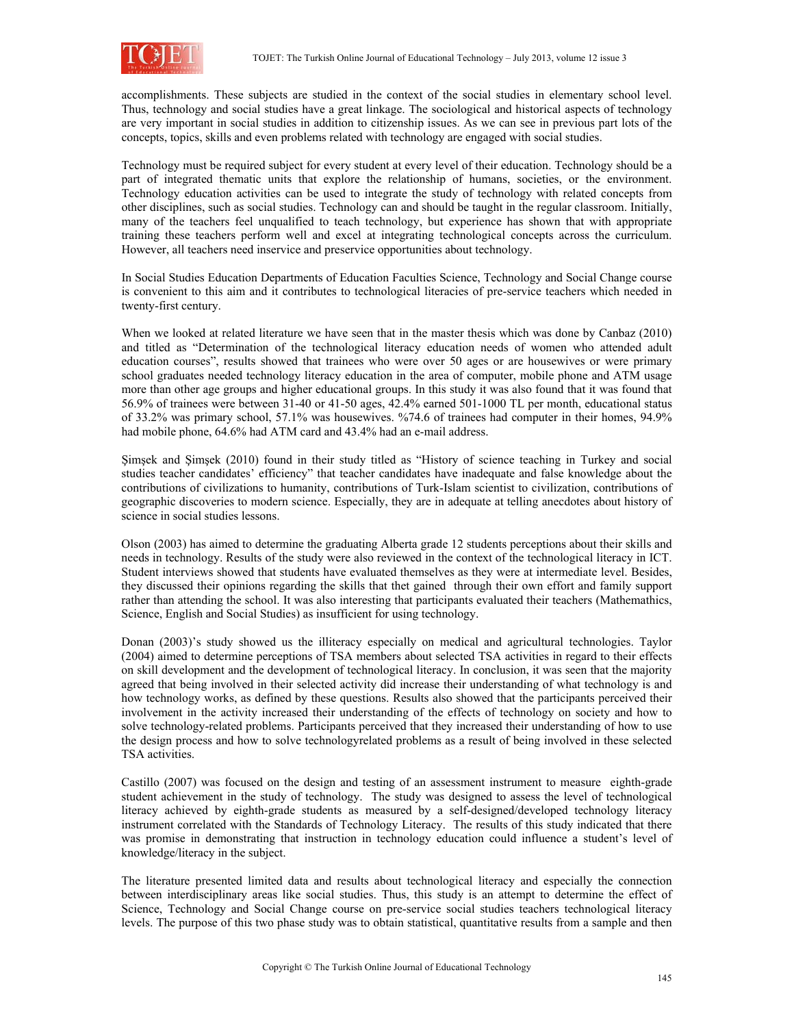

accomplishments. These subjects are studied in the context of the social studies in elementary school level. Thus, technology and social studies have a great linkage. The sociological and historical aspects of technology are very important in social studies in addition to citizenship issues. As we can see in previous part lots of the concepts, topics, skills and even problems related with technology are engaged with social studies.

Technology must be required subject for every student at every level of their education. Technology should be a part of integrated thematic units that explore the relationship of humans, societies, or the environment. Technology education activities can be used to integrate the study of technology with related concepts from other disciplines, such as social studies. Technology can and should be taught in the regular classroom. Initially, many of the teachers feel unqualified to teach technology, but experience has shown that with appropriate training these teachers perform well and excel at integrating technological concepts across the curriculum. However, all teachers need inservice and preservice opportunities about technology.

In Social Studies Education Departments of Education Faculties Science, Technology and Social Change course is convenient to this aim and it contributes to technological literacies of pre-service teachers which needed in twenty-first century.

When we looked at related literature we have seen that in the master thesis which was done by Canbaz (2010) and titled as "Determination of the technological literacy education needs of women who attended adult education courses", results showed that trainees who were over 50 ages or are housewives or were primary school graduates needed technology literacy education in the area of computer, mobile phone and ATM usage more than other age groups and higher educational groups. In this study it was also found that it was found that 56.9% of trainees were between 31-40 or 41-50 ages, 42.4% earned 501-1000 TL per month, educational status of 33.2% was primary school, 57.1% was housewives. %74.6 of trainees had computer in their homes, 94.9% had mobile phone, 64.6% had ATM card and 43.4% had an e-mail address.

Şimşek and Şimşek (2010) found in their study titled as "History of science teaching in Turkey and social studies teacher candidates' efficiency" that teacher candidates have inadequate and false knowledge about the contributions of civilizations to humanity, contributions of Turk-Islam scientist to civilization, contributions of geographic discoveries to modern science. Especially, they are in adequate at telling anecdotes about history of science in social studies lessons.

Olson (2003) has aimed to determine the graduating Alberta grade 12 students perceptions about their skills and needs in technology. Results of the study were also reviewed in the context of the technological literacy in ICT. Student interviews showed that students have evaluated themselves as they were at intermediate level. Besides, they discussed their opinions regarding the skills that thet gained through their own effort and family support rather than attending the school. It was also interesting that participants evaluated their teachers (Mathemathics, Science, English and Social Studies) as insufficient for using technology.

Donan (2003)'s study showed us the illiteracy especially on medical and agricultural technologies. Taylor (2004) aimed to determine perceptions of TSA members about selected TSA activities in regard to their effects on skill development and the development of technological literacy. In conclusion, it was seen that the majority agreed that being involved in their selected activity did increase their understanding of what technology is and how technology works, as defined by these questions. Results also showed that the participants perceived their involvement in the activity increased their understanding of the effects of technology on society and how to solve technology-related problems. Participants perceived that they increased their understanding of how to use the design process and how to solve technologyrelated problems as a result of being involved in these selected TSA activities.

Castillo (2007) was focused on the design and testing of an assessment instrument to measure eighth-grade student achievement in the study of technology. The study was designed to assess the level of technological literacy achieved by eighth-grade students as measured by a self-designed/developed technology literacy instrument correlated with the Standards of Technology Literacy. The results of this study indicated that there was promise in demonstrating that instruction in technology education could influence a student's level of knowledge/literacy in the subject.

The literature presented limited data and results about technological literacy and especially the connection between interdisciplinary areas like social studies. Thus, this study is an attempt to determine the effect of Science, Technology and Social Change course on pre-service social studies teachers technological literacy levels. The purpose of this two phase study was to obtain statistical, quantitative results from a sample and then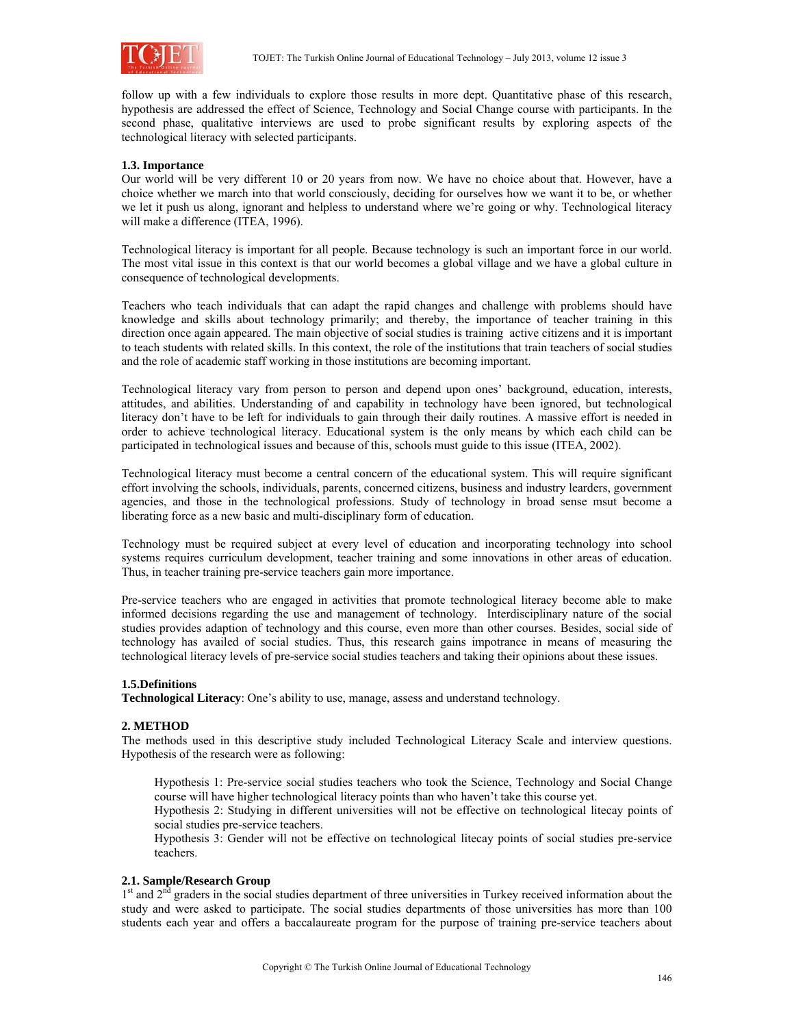

follow up with a few individuals to explore those results in more dept. Quantitative phase of this research, hypothesis are addressed the effect of Science, Technology and Social Change course with participants. In the second phase, qualitative interviews are used to probe significant results by exploring aspects of the technological literacy with selected participants.

## **1.3. Importance**

Our world will be very different 10 or 20 years from now. We have no choice about that. However, have a choice whether we march into that world consciously, deciding for ourselves how we want it to be, or whether we let it push us along, ignorant and helpless to understand where we're going or why. Technological literacy will make a difference (ITEA, 1996).

Technological literacy is important for all people. Because technology is such an important force in our world. The most vital issue in this context is that our world becomes a global village and we have a global culture in consequence of technological developments.

Teachers who teach individuals that can adapt the rapid changes and challenge with problems should have knowledge and skills about technology primarily; and thereby, the importance of teacher training in this direction once again appeared. The main objective of social studies is training active citizens and it is important to teach students with related skills. In this context, the role of the institutions that train teachers of social studies and the role of academic staff working in those institutions are becoming important.

Technological literacy vary from person to person and depend upon ones' background, education, interests, attitudes, and abilities. Understanding of and capability in technology have been ignored, but technological literacy don't have to be left for individuals to gain through their daily routines. A massive effort is needed in order to achieve technological literacy. Educational system is the only means by which each child can be participated in technological issues and because of this, schools must guide to this issue (ITEA, 2002).

Technological literacy must become a central concern of the educational system. This will require significant effort involving the schools, individuals, parents, concerned citizens, business and industry learders, government agencies, and those in the technological professions. Study of technology in broad sense msut become a liberating force as a new basic and multi-disciplinary form of education.

Technology must be required subject at every level of education and incorporating technology into school systems requires curriculum development, teacher training and some innovations in other areas of education. Thus, in teacher training pre-service teachers gain more importance.

Pre-service teachers who are engaged in activities that promote technological literacy become able to make informed decisions regarding the use and management of technology. Interdisciplinary nature of the social studies provides adaption of technology and this course, even more than other courses. Besides, social side of technology has availed of social studies. Thus, this research gains impotrance in means of measuring the technological literacy levels of pre-service social studies teachers and taking their opinions about these issues.

#### **1.5.Definitions**

**Technological Literacy**: One's ability to use, manage, assess and understand technology.

## **2. METHOD**

The methods used in this descriptive study included Technological Literacy Scale and interview questions. Hypothesis of the research were as following:

Hypothesis 1: Pre-service social studies teachers who took the Science, Technology and Social Change course will have higher technological literacy points than who haven't take this course yet.

Hypothesis 2: Studying in different universities will not be effective on technological litecay points of social studies pre-service teachers.

Hypothesis 3: Gender will not be effective on technological litecay points of social studies pre-service teachers.

## **2.1. Sample/Research Group**

<sup>1st</sup> and 2<sup>nd</sup> graders in the social studies department of three universities in Turkey received information about the study and were asked to participate. The social studies departments of those universities has more than 100 students each year and offers a baccalaureate program for the purpose of training pre-service teachers about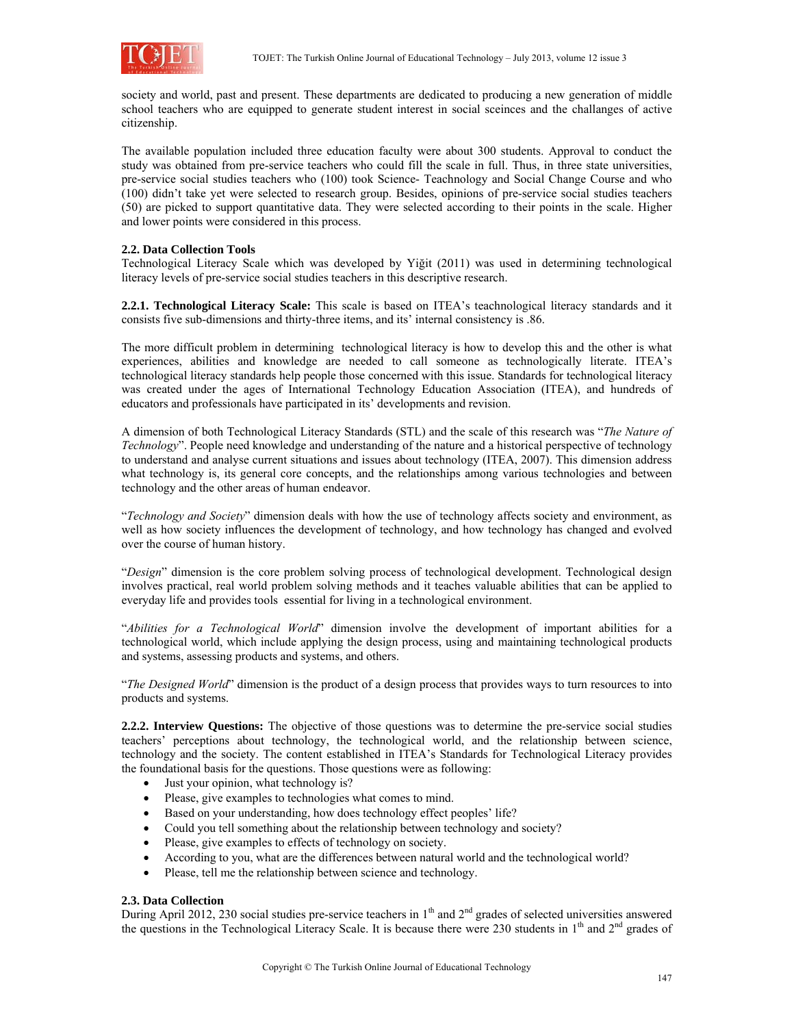

society and world, past and present. These departments are dedicated to producing a new generation of middle school teachers who are equipped to generate student interest in social sceinces and the challanges of active citizenship.

The available population included three education faculty were about 300 students. Approval to conduct the study was obtained from pre-service teachers who could fill the scale in full. Thus, in three state universities, pre-service social studies teachers who (100) took Science- Teachnology and Social Change Course and who (100) didn't take yet were selected to research group. Besides, opinions of pre-service social studies teachers (50) are picked to support quantitative data. They were selected according to their points in the scale. Higher and lower points were considered in this process.

## **2.2. Data Collection Tools**

Technological Literacy Scale which was developed by Yiğit (2011) was used in determining technological literacy levels of pre-service social studies teachers in this descriptive research.

**2.2.1. Technological Literacy Scale:** This scale is based on ITEA's teachnological literacy standards and it consists five sub-dimensions and thirty-three items, and its' internal consistency is .86.

The more difficult problem in determining technological literacy is how to develop this and the other is what experiences, abilities and knowledge are needed to call someone as technologically literate. ITEA's technological literacy standards help people those concerned with this issue. Standards for technological literacy was created under the ages of International Technology Education Association (ITEA), and hundreds of educators and professionals have participated in its' developments and revision.

A dimension of both Technological Literacy Standards (STL) and the scale of this research was "*The Nature of Technology*". People need knowledge and understanding of the nature and a historical perspective of technology to understand and analyse current situations and issues about technology (ITEA, 2007). This dimension address what technology is, its general core concepts, and the relationships among various technologies and between technology and the other areas of human endeavor.

"*Technology and Society*" dimension deals with how the use of technology affects society and environment, as well as how society influences the development of technology, and how technology has changed and evolved over the course of human history.

"*Design*" dimension is the core problem solving process of technological development. Technological design involves practical, real world problem solving methods and it teaches valuable abilities that can be applied to everyday life and provides tools essential for living in a technological environment.

"*Abilities for a Technological World*" dimension involve the development of important abilities for a technological world, which include applying the design process, using and maintaining technological products and systems, assessing products and systems, and others.

"*The Designed World*" dimension is the product of a design process that provides ways to turn resources to into products and systems.

**2.2.2. Interview Questions:** The objective of those questions was to determine the pre-service social studies teachers' perceptions about technology, the technological world, and the relationship between science, technology and the society. The content established in ITEA's Standards for Technological Literacy provides the foundational basis for the questions. Those questions were as following:

- Just your opinion, what technology is?
- Please, give examples to technologies what comes to mind.
- Based on your understanding, how does technology effect peoples' life?
- Could you tell something about the relationship between technology and society?
- Please, give examples to effects of technology on society.
- According to you, what are the differences between natural world and the technological world?
- Please, tell me the relationship between science and technology.

#### **2.3. Data Collection**

During April 2012, 230 social studies pre-service teachers in  $1<sup>th</sup>$  and  $2<sup>nd</sup>$  grades of selected universities answered the questions in the Technological Literacy Scale. It is because there were 230 students in  $1<sup>th</sup>$  and  $2<sup>nd</sup>$  grades of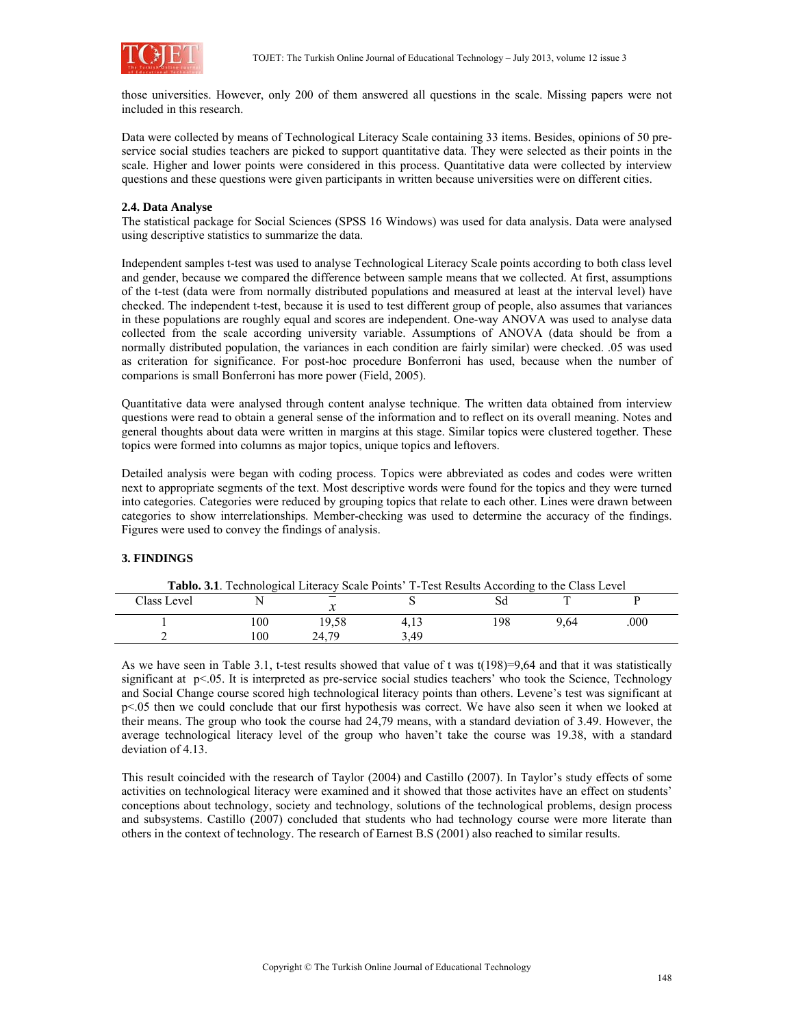

those universities. However, only 200 of them answered all questions in the scale. Missing papers were not included in this research.

Data were collected by means of Technological Literacy Scale containing 33 items. Besides, opinions of 50 preservice social studies teachers are picked to support quantitative data. They were selected as their points in the scale. Higher and lower points were considered in this process. Quantitative data were collected by interview questions and these questions were given participants in written because universities were on different cities.

## **2.4. Data Analyse**

The statistical package for Social Sciences (SPSS 16 Windows) was used for data analysis. Data were analysed using descriptive statistics to summarize the data.

Independent samples t-test was used to analyse Technological Literacy Scale points according to both class level and gender, because we compared the difference between sample means that we collected. At first, assumptions of the t-test (data were from normally distributed populations and measured at least at the interval level) have checked. The independent t-test, because it is used to test different group of people, also assumes that variances in these populations are roughly equal and scores are independent. One-way ANOVA was used to analyse data collected from the scale according university variable. Assumptions of ANOVA (data should be from a normally distributed population, the variances in each condition are fairly similar) were checked. .05 was used as criteration for significance. For post-hoc procedure Bonferroni has used, because when the number of comparions is small Bonferroni has more power (Field, 2005).

Quantitative data were analysed through content analyse technique. The written data obtained from interview questions were read to obtain a general sense of the information and to reflect on its overall meaning. Notes and general thoughts about data were written in margins at this stage. Similar topics were clustered together. These topics were formed into columns as major topics, unique topics and leftovers.

Detailed analysis were began with coding process. Topics were abbreviated as codes and codes were written next to appropriate segments of the text. Most descriptive words were found for the topics and they were turned into categories. Categories were reduced by grouping topics that relate to each other. Lines were drawn between categories to show interrelationships. Member-checking was used to determine the accuracy of the findings. Figures were used to convey the findings of analysis.

#### **3. FINDINGS**

| <b>Tablo. 3.1.</b> Technological Literacy Scale Points' T-Test Results According to the Class Level |      |       |      |     |      |     |  |  |
|-----------------------------------------------------------------------------------------------------|------|-------|------|-----|------|-----|--|--|
| Class Level                                                                                         |      | ◡     |      |     |      |     |  |  |
|                                                                                                     | l 00 | 19.58 |      | .98 | 9.64 | 000 |  |  |
|                                                                                                     | 100  | 24 79 | 3 49 |     |      |     |  |  |

As we have seen in Table 3.1, t-test results showed that value of t was  $t(198)=9,64$  and that it was statistically significant at p<.05. It is interpreted as pre-service social studies teachers' who took the Science, Technology and Social Change course scored high technological literacy points than others. Levene's test was significant at p<.05 then we could conclude that our first hypothesis was correct. We have also seen it when we looked at their means. The group who took the course had 24,79 means, with a standard deviation of 3.49. However, the average technological literacy level of the group who haven't take the course was 19.38, with a standard deviation of 4.13.

This result coincided with the research of Taylor (2004) and Castillo (2007). In Taylor's study effects of some activities on technological literacy were examined and it showed that those activites have an effect on students' conceptions about technology, society and technology, solutions of the technological problems, design process and subsystems. Castillo (2007) concluded that students who had technology course were more literate than others in the context of technology. The research of Earnest B.S (2001) also reached to similar results.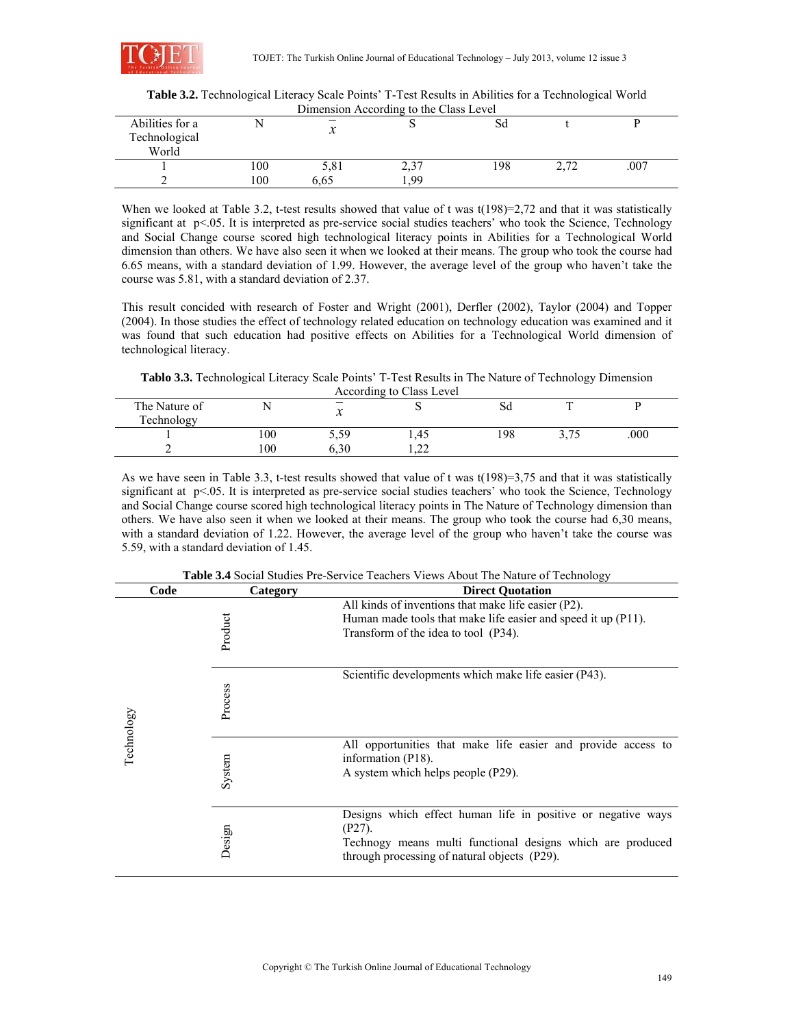

|                                           |      |      | Dimension According to the Class Level |     |               |      |  |
|-------------------------------------------|------|------|----------------------------------------|-----|---------------|------|--|
| Abilities for a<br>Technological<br>World |      | ∼    |                                        | Sd  |               |      |  |
|                                           | 100  | 5,81 | 2,3                                    | 198 | C 7 7<br>4.14 | .007 |  |
|                                           | l 00 | 6.65 | 99                                     |     |               |      |  |

**Table 3.2.** Technological Literacy Scale Points' T-Test Results in Abilities for a Technological World Dimension According to the Class Level

When we looked at Table 3.2, t-test results showed that value of t was  $t(198)=2,72$  and that it was statistically significant at p<.05. It is interpreted as pre-service social studies teachers' who took the Science, Technology and Social Change course scored high technological literacy points in Abilities for a Technological World dimension than others. We have also seen it when we looked at their means. The group who took the course had 6.65 means, with a standard deviation of 1.99. However, the average level of the group who haven't take the course was 5.81, with a standard deviation of 2.37.

This result concided with research of Foster and Wright (2001), Derfler (2002), Taylor (2004) and Topper (2004). In those studies the effect of technology related education on technology education was examined and it was found that such education had positive effects on Abilities for a Technological World dimension of technological literacy.

**Tablo 3.3.** Technological Literacy Scale Points' T-Test Results in The Nature of Technology Dimension

| According to Class Level    |     |      |             |     |        |      |  |
|-----------------------------|-----|------|-------------|-----|--------|------|--|
| The Nature of<br>Technology |     | ∼    |             | DЧ  | $\sim$ |      |  |
|                             | 100 | 5.59 | 1.45        | 198 | ا د ب  | .000 |  |
|                             | 100 | 5.30 | $\cap$<br>. |     |        |      |  |

As we have seen in Table 3.3, t-test results showed that value of t was t(198)=3,75 and that it was statistically significant at p<.05. It is interpreted as pre-service social studies teachers' who took the Science, Technology and Social Change course scored high technological literacy points in The Nature of Technology dimension than others. We have also seen it when we looked at their means. The group who took the course had 6,30 means, with a standard deviation of 1.22. However, the average level of the group who haven't take the course was 5.59, with a standard deviation of 1.45.

|            |      |          | <b>Table 3.4</b> Social Studies I Te-Service Teachers Views About The Ivalure of Technology                                                                                             |
|------------|------|----------|-----------------------------------------------------------------------------------------------------------------------------------------------------------------------------------------|
|            | Code | Category | <b>Direct Quotation</b>                                                                                                                                                                 |
|            |      | Product  | All kinds of inventions that make life easier (P2).<br>Human made tools that make life easier and speed it up (P11).<br>Transform of the idea to tool (P34).                            |
|            |      | Process  | Scientific developments which make life easier (P43).                                                                                                                                   |
| Technology |      | System   | All opportunities that make life easier and provide access to<br>information (P18).<br>A system which helps people (P29).                                                               |
|            |      | Design   | Designs which effect human life in positive or negative ways<br>$(P27)$ .<br>Technogy means multi functional designs which are produced<br>through processing of natural objects (P29). |

**Table 3.4** Social Studies Pre-Service Teachers Views About The Nature of Technology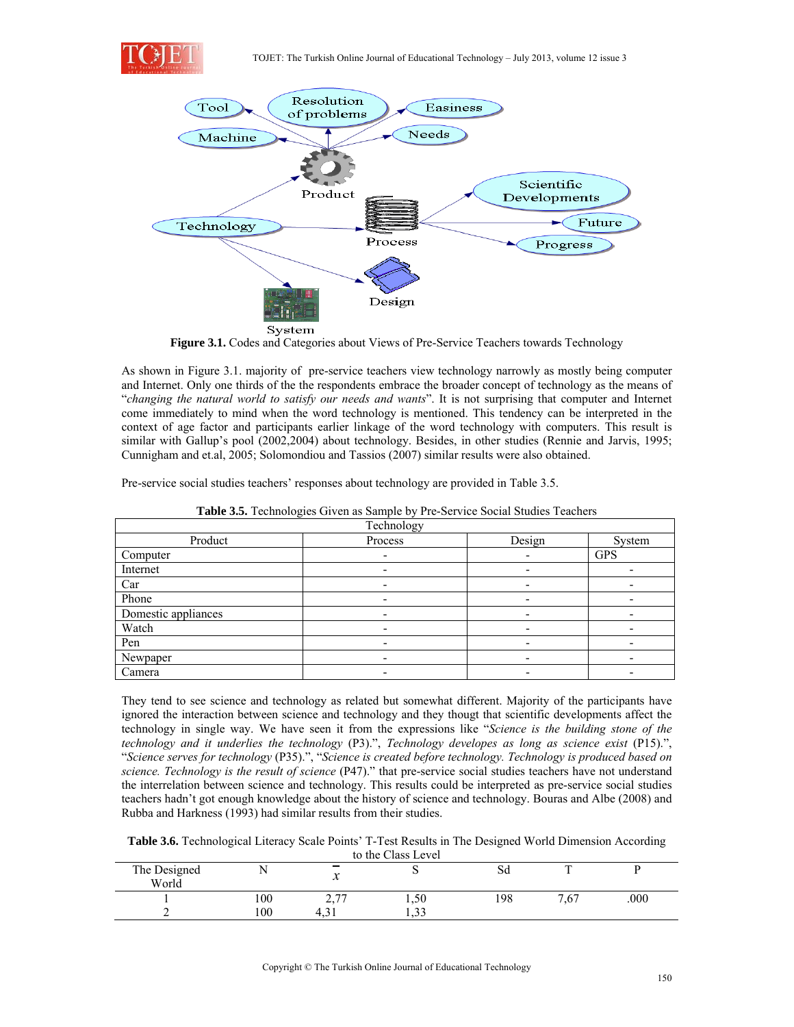



**Figure 3.1.** Codes and Categories about Views of Pre-Service Teachers towards Technology

As shown in Figure 3.1. majority of pre-service teachers view technology narrowly as mostly being computer and Internet. Only one thirds of the the respondents embrace the broader concept of technology as the means of "*changing the natural world to satisfy our needs and wants*". It is not surprising that computer and Internet come immediately to mind when the word technology is mentioned. This tendency can be interpreted in the context of age factor and participants earlier linkage of the word technology with computers. This result is similar with Gallup's pool (2002,2004) about technology. Besides, in other studies (Rennie and Jarvis, 1995; Cunnigham and et.al, 2005; Solomondiou and Tassios (2007) similar results were also obtained.

Pre-service social studies teachers' responses about technology are provided in Table 3.5.

| Technology          |                          |        |            |  |  |  |  |
|---------------------|--------------------------|--------|------------|--|--|--|--|
| Product             | Process                  | Design | System     |  |  |  |  |
| Computer            |                          |        | <b>GPS</b> |  |  |  |  |
| Internet            |                          |        |            |  |  |  |  |
| Car                 |                          | -      |            |  |  |  |  |
| Phone               | $\overline{\phantom{0}}$ | -      |            |  |  |  |  |
| Domestic appliances |                          |        |            |  |  |  |  |
| Watch               |                          |        |            |  |  |  |  |
| Pen                 |                          |        |            |  |  |  |  |
| Newpaper            | $\overline{\phantom{0}}$ | -      |            |  |  |  |  |
| Camera              |                          | -      |            |  |  |  |  |

**Table 3.5.** Technologies Given as Sample by Pre-Service Social Studies Teachers

They tend to see science and technology as related but somewhat different. Majority of the participants have ignored the interaction between science and technology and they thougt that scientific developments affect the technology in single way. We have seen it from the expressions like "*Science is the building stone of the technology and it underlies the technology* (P3).", *Technology developes as long as science exist* (P15).", "*Science serves for technology* (P35).", "*Science is created before technology. Technology is produced based on science. Technology is the result of science* (P47)." that pre-service social studies teachers have not understand the interrelation between science and technology. This results could be interpreted as pre-service social studies teachers hadn't got enough knowledge about the history of science and technology. Bouras and Albe (2008) and Rubba and Harkness (1993) had similar results from their studies.

**Table 3.6.** Technological Literacy Scale Points' T-Test Results in The Designed World Dimension According to the Class Level

|                       |     |                                                        | to the Class Level           |              |              |      |
|-----------------------|-----|--------------------------------------------------------|------------------------------|--------------|--------------|------|
| The Designed<br>World |     | $\overline{\phantom{a}}$<br>$\boldsymbol{\mathcal{N}}$ |                              | $\sim$<br>ðи | $\mathbf{r}$ |      |
|                       | 100 | $\sim$ $\pi$<br>$\sim$                                 | 1,50                         | 198          | 7,67         | .000 |
| -                     | 100 | т. ј                                                   | $\mathbf{\hat{a}}$<br>ر ر. د |              |              |      |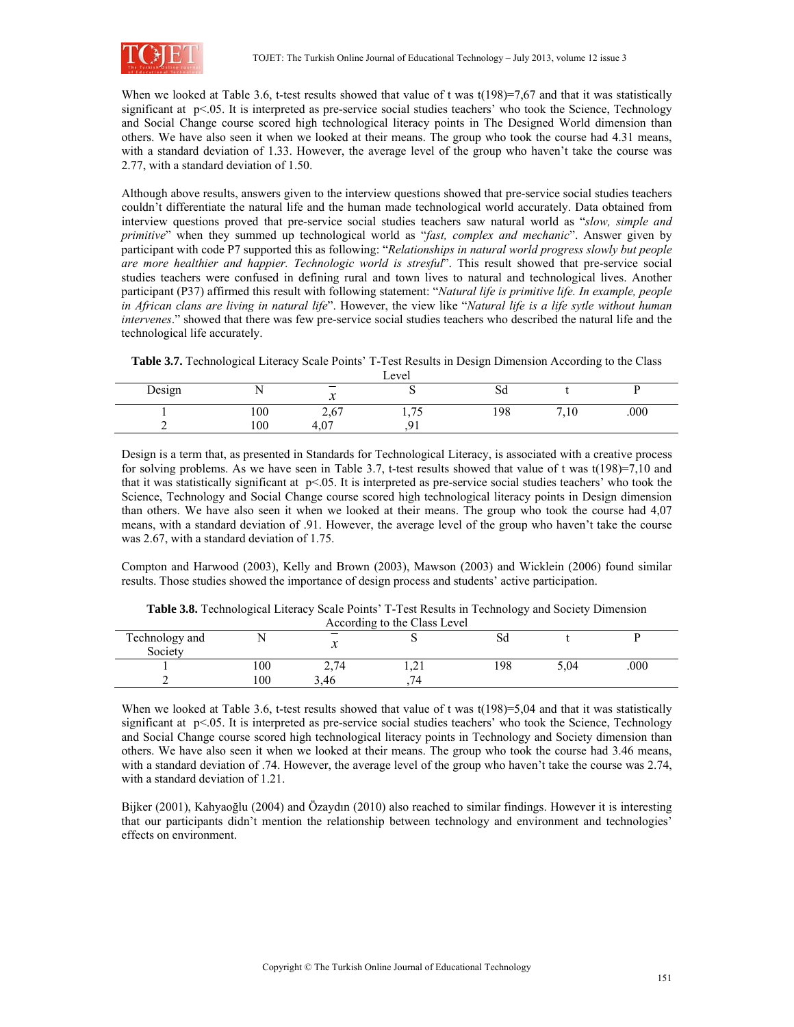

When we looked at Table 3.6, t-test results showed that value of t was  $t(198)=7,67$  and that it was statistically significant at  $p<0.05$ . It is interpreted as pre-service social studies teachers' who took the Science, Technology and Social Change course scored high technological literacy points in The Designed World dimension than others. We have also seen it when we looked at their means. The group who took the course had 4.31 means, with a standard deviation of 1.33. However, the average level of the group who haven't take the course was 2.77, with a standard deviation of 1.50.

Although above results, answers given to the interview questions showed that pre-service social studies teachers couldn't differentiate the natural life and the human made technological world accurately. Data obtained from interview questions proved that pre-service social studies teachers saw natural world as "*slow, simple and primitive*" when they summed up technological world as "*fast, complex and mechanic*". Answer given by participant with code P7 supported this as following: "*Relationships in natural world progress slowly but people are more healthier and happier. Technologic world is stresful*". This result showed that pre-service social studies teachers were confused in defining rural and town lives to natural and technological lives. Another participant (P37) affirmed this result with following statement: "*Natural life is primitive life. In example, people in African clans are living in natural life*". However, the view like "*Natural life is a life sytle without human intervenes*." showed that there was few pre-service social studies teachers who described the natural life and the technological life accurately.

**Table 3.7.** Technological Literacy Scale Points' T-Test Results in Design Dimension According to the Class

|        |     |                                   | Level                  |     |          |      |
|--------|-----|-----------------------------------|------------------------|-----|----------|------|
| Design |     | - -<br>$\boldsymbol{\mathcal{N}}$ |                        | οu  |          |      |
|        | 100 | 2.67<br>2,01                      | $\overline{ }$<br>1.1J | 198 | −<br>.10 | .000 |
|        | 100 | $\Omega$<br>4<br>$T_{\rm A}U$     |                        |     |          |      |

Design is a term that, as presented in Standards for Technological Literacy, is associated with a creative process for solving problems. As we have seen in Table 3.7, t-test results showed that value of t was t(198)=7,10 and that it was statistically significant at  $p<0.05$ . It is interpreted as pre-service social studies teachers' who took the Science, Technology and Social Change course scored high technological literacy points in Design dimension than others. We have also seen it when we looked at their means. The group who took the course had 4,07 means, with a standard deviation of .91. However, the average level of the group who haven't take the course was 2.67, with a standard deviation of 1.75.

Compton and Harwood (2003), Kelly and Brown (2003), Mawson (2003) and Wicklein (2006) found similar results. Those studies showed the importance of design process and students' active participation.

| According to the Class Level |     |      |   |     |      |      |  |  |
|------------------------------|-----|------|---|-----|------|------|--|--|
| Technology and               |     | –    |   | oч  |      |      |  |  |
| Society                      |     |      |   |     |      |      |  |  |
|                              | 00  | 2,74 | . | 198 | 5.04 | .000 |  |  |
|                              | 100 | 3.46 |   |     |      |      |  |  |

**Table 3.8.** Technological Literacy Scale Points' T-Test Results in Technology and Society Dimension

When we looked at Table 3.6, t-test results showed that value of t was  $t(198)=5.04$  and that it was statistically significant at p<.05. It is interpreted as pre-service social studies teachers' who took the Science, Technology and Social Change course scored high technological literacy points in Technology and Society dimension than others. We have also seen it when we looked at their means. The group who took the course had 3.46 means, with a standard deviation of .74. However, the average level of the group who haven't take the course was 2.74, with a standard deviation of 1.21.

Bijker (2001), Kahyaoğlu (2004) and Özaydın (2010) also reached to similar findings. However it is interesting that our participants didn't mention the relationship between technology and environment and technologies' effects on environment.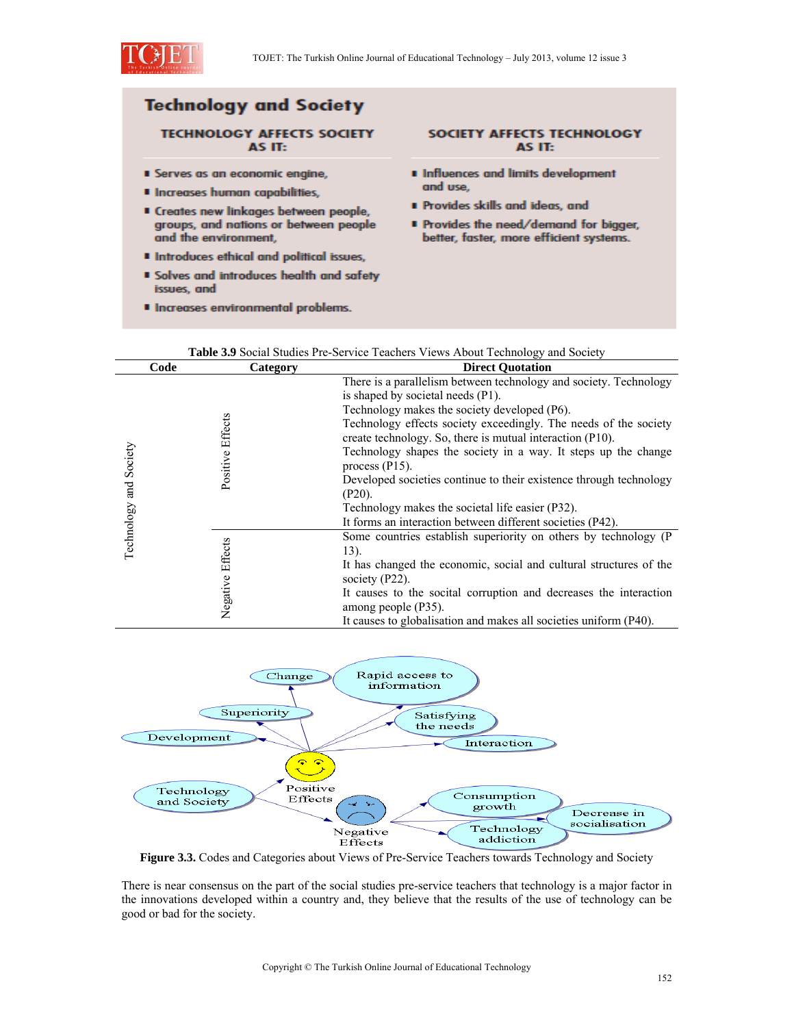

## **Technology and Society**

## **TECHNOLOGY AFFECTS SOCIETY** AS IT:

- **I** Serves as an economic engine,
- **I** Increases human capabilities,
- Creates new linkages between people, groups, and nations or between people and the environment,
- **I** Introduces ethical and political issues,
- **E Solves and introduces health and safety** issues, and
- **I** Increases environmental problems.

## SOCIETY AFFECTS TECHNOLOGY AS IT:

- I Influences and limits development and use,
- Provides skills and ideas, and
- Provides the need/demand for bigger, better, faster, more efficient systems.

|                        | Code             | Category | <b>Direct Quotation</b>                                                                                                                                                                                                                                                                                                                                                                                                                                                                                                                                                                |
|------------------------|------------------|----------|----------------------------------------------------------------------------------------------------------------------------------------------------------------------------------------------------------------------------------------------------------------------------------------------------------------------------------------------------------------------------------------------------------------------------------------------------------------------------------------------------------------------------------------------------------------------------------------|
| Technology and Society | Positive Effects |          | There is a parallelism between technology and society. Technology<br>is shaped by societal needs (P1).<br>Technology makes the society developed (P6).<br>Technology effects society exceedingly. The needs of the society<br>create technology. So, there is mutual interaction $(P10)$ .<br>Technology shapes the society in a way. It steps up the change<br>process $(P15)$ .<br>Developed societies continue to their existence through technology<br>$(P20)$ .<br>Technology makes the societal life easier (P32).<br>It forms an interaction between different societies (P42). |
|                        | Negative Effects |          | Some countries establish superiority on others by technology (P<br>13).<br>It has changed the economic, social and cultural structures of the<br>society $(P22)$ .<br>It causes to the socital corruption and decreases the interaction<br>among people (P35).<br>It causes to globalisation and makes all societies uniform (P40).                                                                                                                                                                                                                                                    |

# **Table 3.9** Social Studies Pre-Service Teachers Views About Technology and Society



**Figure 3.3.** Codes and Categories about Views of Pre-Service Teachers towards Technology and Society

There is near consensus on the part of the social studies pre-service teachers that technology is a major factor in the innovations developed within a country and, they believe that the results of the use of technology can be good or bad for the society.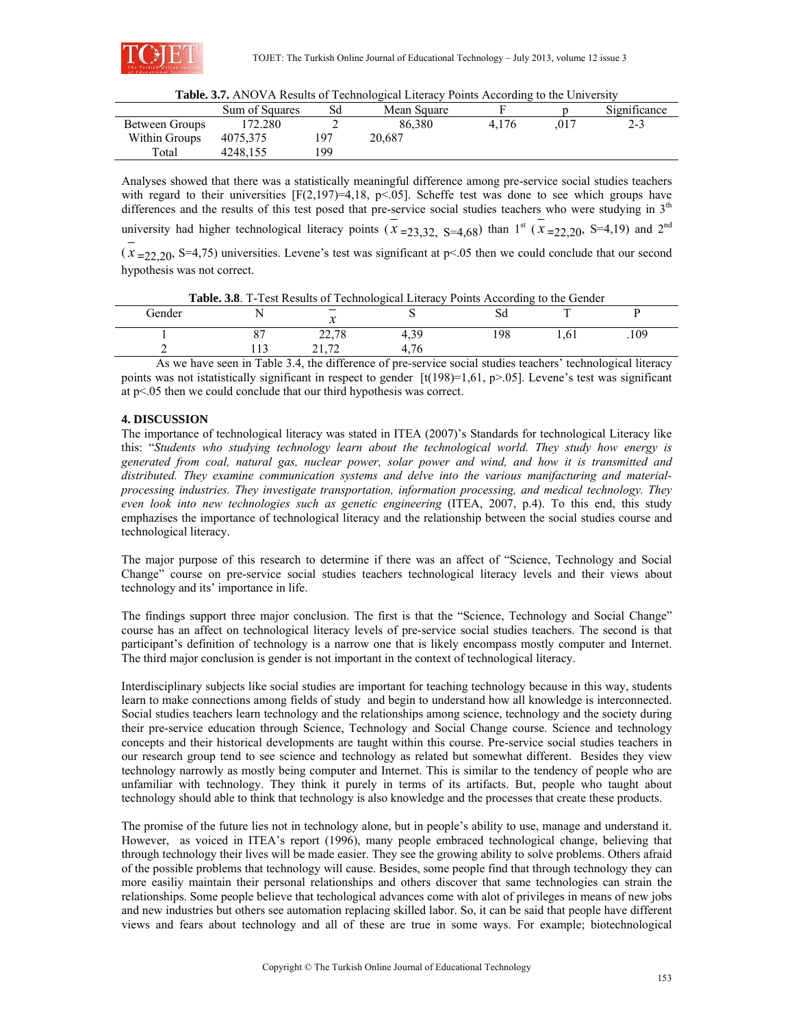

| Table. 3.7. ANOVA Results of Technological Literacy Points According to the University |  |
|----------------------------------------------------------------------------------------|--|
|----------------------------------------------------------------------------------------|--|

|                | <b>THERE SHARITO ALL INSURE OF TWINDINGTON ERVINGY I ONIG TROUGHING TO THE CHIP SECT</b> |      |             |       |     |              |  |  |
|----------------|------------------------------------------------------------------------------------------|------|-------------|-------|-----|--------------|--|--|
|                | Sum of Squares                                                                           | Sd   | Mean Square |       |     | Significance |  |  |
| Between Groups | 172.280                                                                                  |      | 86.380      | 4.176 | 017 | 2-3          |  |  |
| Within Groups  | 4075.375                                                                                 | ٬ ۹7 | 20.687      |       |     |              |  |  |
| Total          | 4248,155                                                                                 | 99   |             |       |     |              |  |  |

Analyses showed that there was a statistically meaningful difference among pre-service social studies teachers with regard to their universities  $[F(2,197)=4,18, p<0.05]$ . Scheffe test was done to see which groups have differences and the results of this test posed that pre-service social studies teachers who were studying in  $3<sup>th</sup>$ university had higher technological literacy points  $(x_{\text{=}23,32, \text{ S=4,68}})$  than 1st  $(x_{\text{=}22,20, \text{ S=4,19}})$  and 2<sup>nd</sup>  $(x_{\text{=}22.20}, S=4,75)$  universities. Levene's test was significant at p<.05 then we could conclude that our second hypothesis was not correct.

| Table. 3.8. T-Test Results of Technological Literacy Points According to the Gender |  |
|-------------------------------------------------------------------------------------|--|
|-------------------------------------------------------------------------------------|--|

| Gender | . .             | $\overline{a}$<br>$\bm{\mathsf{v}}$ | ∼                  | οu  | $\mathbf{r}$ |      |
|--------|-----------------|-------------------------------------|--------------------|-----|--------------|------|
|        | $\cap$<br>ັ     | 2270<br>22,10                       | 30<br>             | 198 | 1.01         | .109 |
| -      | $\sim$<br>1 1 J | $\overline{z}$<br>---               | $\sim$<br>T<br>. . |     |              |      |

As we have seen in Table 3.4, the difference of pre-service social studies teachers' technological literacy points was not istatistically significant in respect to gender  $[t(198)=1,61, p>0.05]$ . Levene's test was significant at p<.05 then we could conclude that our third hypothesis was correct.

## **4. DISCUSSION**

The importance of technological literacy was stated in ITEA (2007)'s Standards for technological Literacy like this: "*Students who studying technology learn about the technological world. They study how energy is generated from coal, natural gas, nuclear power, solar power and wind, and how it is transmitted and distributed. They examine communication systems and delve into the various manifacturing and materialprocessing industries. They investigate transportation, information processing, and medical technology. They even look into new technologies such as genetic engineering* (ITEA, 2007, p.4). To this end, this study emphazises the importance of technological literacy and the relationship between the social studies course and technological literacy.

The major purpose of this research to determine if there was an affect of "Science, Technology and Social Change" course on pre-service social studies teachers technological literacy levels and their views about technology and its' importance in life.

The findings support three major conclusion. The first is that the "Science, Technology and Social Change" course has an affect on technological literacy levels of pre-service social studies teachers. The second is that participant's definition of technology is a narrow one that is likely encompass mostly computer and Internet. The third major conclusion is gender is not important in the context of technological literacy.

Interdisciplinary subjects like social studies are important for teaching technology because in this way, students learn to make connections among fields of study and begin to understand how all knowledge is interconnected. Social studies teachers learn technology and the relationships among science, technology and the society during their pre-service education through Science, Technology and Social Change course. Science and technology concepts and their historical developments are taught within this course. Pre-service social studies teachers in our research group tend to see science and technology as related but somewhat different. Besides they view technology narrowly as mostly being computer and Internet. This is similar to the tendency of people who are unfamiliar with technology. They think it purely in terms of its artifacts. But, people who taught about technology should able to think that technology is also knowledge and the processes that create these products.

The promise of the future lies not in technology alone, but in people's ability to use, manage and understand it. However, as voiced in ITEA's report (1996), many people embraced technological change, believing that through technology their lives will be made easier. They see the growing ability to solve problems. Others afraid of the possible problems that technology will cause. Besides, some people find that through technology they can more easiliy maintain their personal relationships and others discover that same technologies can strain the relationships. Some people believe that techological advances come with alot of privileges in means of new jobs and new industries but others see automation replacing skilled labor. So, it can be said that people have different views and fears about technology and all of these are true in some ways. For example; biotechnological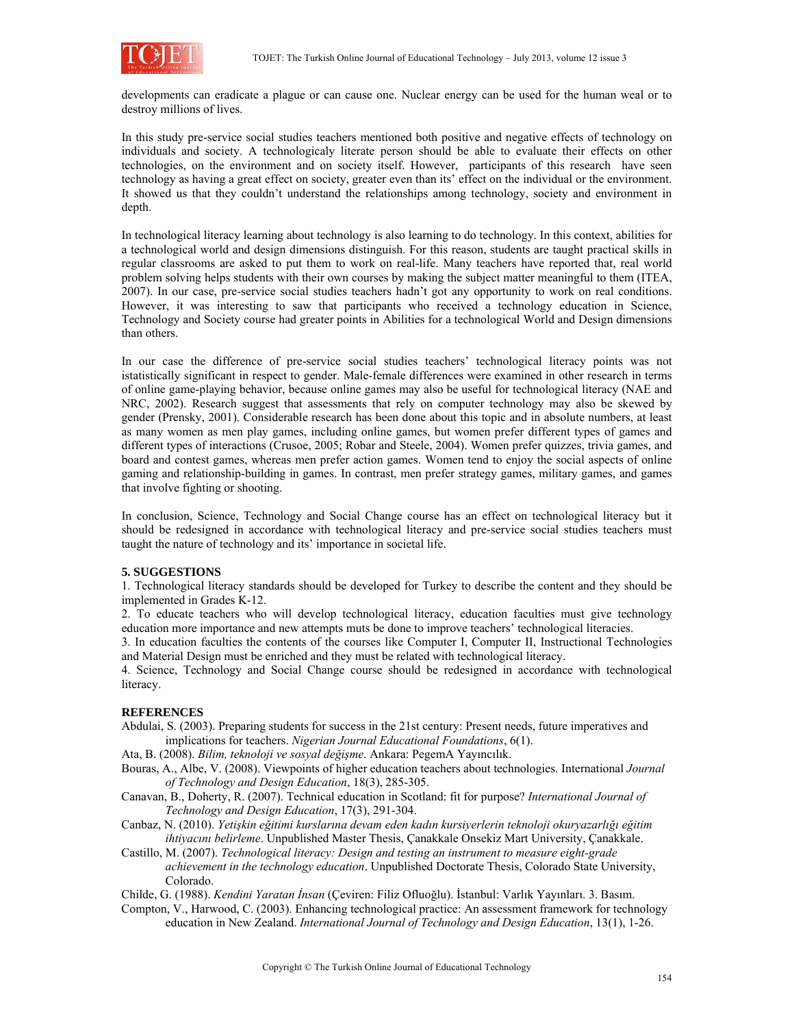

developments can eradicate a plague or can cause one. Nuclear energy can be used for the human weal or to destroy millions of lives.

In this study pre-service social studies teachers mentioned both positive and negative effects of technology on individuals and society. A technologicaly literate person should be able to evaluate their effects on other technologies, on the environment and on society itself. However, participants of this research have seen technology as having a great effect on society, greater even than its' effect on the individual or the environment. It showed us that they couldn't understand the relationships among technology, society and environment in depth.

In technological literacy learning about technology is also learning to do technology. In this context, abilities for a technological world and design dimensions distinguish. For this reason, students are taught practical skills in regular classrooms are asked to put them to work on real-life. Many teachers have reported that, real world problem solving helps students with their own courses by making the subject matter meaningful to them (ITEA, 2007). In our case, pre-service social studies teachers hadn't got any opportunity to work on real conditions. However, it was interesting to saw that participants who received a technology education in Science, Technology and Society course had greater points in Abilities for a technological World and Design dimensions than others.

In our case the difference of pre-service social studies teachers' technological literacy points was not istatistically significant in respect to gender. Male-female differences were examined in other research in terms of online game-playing behavior, because online games may also be useful for technological literacy (NAE and NRC, 2002). Research suggest that assessments that rely on computer technology may also be skewed by gender (Prensky, 2001). Considerable research has been done about this topic and in absolute numbers, at least as many women as men play games, including online games, but women prefer different types of games and different types of interactions (Crusoe, 2005; Robar and Steele, 2004). Women prefer quizzes, trivia games, and board and contest games, whereas men prefer action games. Women tend to enjoy the social aspects of online gaming and relationship-building in games. In contrast, men prefer strategy games, military games, and games that involve fighting or shooting.

In conclusion, Science, Technology and Social Change course has an effect on technological literacy but it should be redesigned in accordance with technological literacy and pre-service social studies teachers must taught the nature of technology and its' importance in societal life.

#### **5. SUGGESTIONS**

1. Technological literacy standards should be developed for Turkey to describe the content and they should be implemented in Grades K-12.

2. To educate teachers who will develop technological literacy, education faculties must give technology education more importance and new attempts muts be done to improve teachers' technological literacies.

3. In education faculties the contents of the courses like Computer I, Computer II, Instructional Technologies and Material Design must be enriched and they must be related with technological literacy.

4. Science, Technology and Social Change course should be redesigned in accordance with technological literacy.

#### **REFERENCES**

Abdulai, S. (2003). Preparing students for success in the 21st century: Present needs, future imperatives and implications for teachers. *Nigerian Journal Educational Foundations*, 6(1).

Ata, B. (2008). *Bilim, teknoloji ve sosyal değişme*. Ankara: PegemA Yayıncılık.

Bouras, A., Albe, V. (2008). Viewpoints of higher education teachers about technologies. International *Journal of Technology and Design Education*, 18(3), 285-305.

Canavan, B., Doherty, R. (2007). Technical education in Scotland: fit for purpose? *International Journal of Technology and Design Education*, 17(3), 291-304.

Canbaz, N. (2010). *Yetişkin eğitimi kurslarına devam eden kadın kursiyerlerin teknoloji okuryazarlığı eğitim ihtiyacını belirleme*. Unpublished Master Thesis, Çanakkale Onsekiz Mart University, Çanakkale.

Castillo, M. (2007). *Technological literacy: Design and testing an instrument to measure eight-grade achievement in the technology education*. Unpublished Doctorate Thesis, Colorado State University, Colorado.

Childe, G. (1988). *Kendini Yaratan İnsan* (Çeviren: Filiz Ofluoğlu). İstanbul: Varlık Yayınları. 3. Basım.

Compton, V., Harwood, C. (2003). Enhancing technological practice: An assessment framework for technology education in New Zealand. *International Journal of Technology and Design Education*, 13(1), 1-26.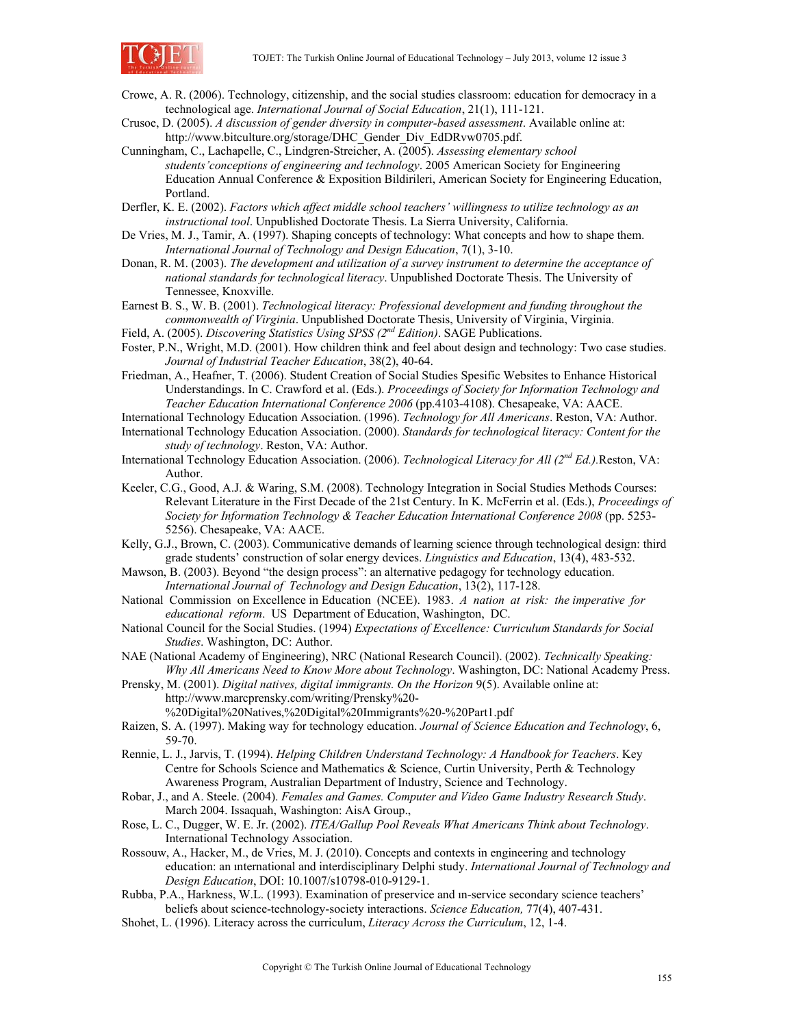

- Crowe, A. R. (2006). Technology, citizenship, and the social studies classroom: education for democracy in a technological age. *International Journal of Social Education*, 21(1), 111-121.
- Crusoe, D. (2005). *A discussion of gender diversity in computer-based assessment*. Available online at: http://www.bitculture.org/storage/DHC\_Gender\_Div\_EdDRvw0705.pdf.
- Cunningham, C., Lachapelle, C., Lindgren-Streicher, A. (2005). *Assessing elementary school students'conceptions of engineering and technology*. 2005 American Society for Engineering Education Annual Conference & Exposition Bildirileri, American Society for Engineering Education, Portland.

Derfler, K. E. (2002). *Factors which affect middle school teachers' willingness to utilize technology as an instructional tool*. Unpublished Doctorate Thesis. La Sierra University, California.

- De Vries, M. J., Tamir, A. (1997). Shaping concepts of technology: What concepts and how to shape them. *International Journal of Technology and Design Education*, 7(1), 3-10.
- Donan, R. M. (2003). *The development and utilization of a survey instrument to determine the acceptance of national standards for technological literacy*. Unpublished Doctorate Thesis. The University of Tennessee, Knoxville.

Earnest B. S., W. B. (2001). *Technological literacy: Professional development and funding throughout the commonwealth of Virginia*. Unpublished Doctorate Thesis, University of Virginia, Virginia.

- Field, A. (2005). *Discovering Statistics Using SPSS (2nd Edition)*. SAGE Publications.
- Foster, P.N., Wright, M.D. (2001). How children think and feel about design and technology: Two case studies. *Journal of Industrial Teacher Education*, 38(2), 40-64.
- Friedman, A., Heafner, T. (2006). Student Creation of Social Studies Spesific Websites to Enhance Historical Understandings. In C. Crawford et al. (Eds.). *Proceedings of Society for Information Technology and Teacher Education International Conference 2006* (pp.4103-4108). Chesapeake, VA: AACE.
- International Technology Education Association. (1996). *Technology for All Americans*. Reston, VA: Author.
- International Technology Education Association. (2000). *Standards for technological literacy: Content for the study of technology*. Reston, VA: Author.
- International Technology Education Association. (2006). *Technological Literacy for All (2nd Ed.).*Reston, VA: Author.
- Keeler, C.G., Good, A.J. & Waring, S.M. (2008). Technology Integration in Social Studies Methods Courses: Relevant Literature in the First Decade of the 21st Century. In K. McFerrin et al. (Eds.), *Proceedings of Society for Information Technology & Teacher Education International Conference 2008* (pp. 5253- 5256). Chesapeake, VA: AACE.
- Kelly, G.J., Brown, C. (2003). Communicative demands of learning science through technological design: third grade students' construction of solar energy devices. *Linguistics and Education*, 13(4), 483-532.
- Mawson, B. (2003). Beyond "the design process": an alternative pedagogy for technology education. *International Journal of Technology and Design Education*, 13(2), 117-128.
- National Commission on Excellence in Education (NCEE). 1983. *A nation at risk: the imperative for educational reform*. US Department of Education, Washington, DC.
- National Council for the Social Studies. (1994) *Expectations of Excellence: Curriculum Standards for Social Studies*. Washington, DC: Author.
- NAE (National Academy of Engineering), NRC (National Research Council). (2002). *Technically Speaking: Why All Americans Need to Know More about Technology*. Washington, DC: National Academy Press.
- Prensky, M. (2001). *Digital natives, digital immigrants. On the Horizon* 9(5). Available online at: http://www.marcprensky.com/writing/Prensky%20- %20Digital%20Natives,%20Digital%20Immigrants%20-%20Part1.pdf
- Raizen, S. A. (1997). Making way for technology education. *Journal of Science Education and Technology*, 6, 59-70.
- Rennie, L. J., Jarvis, T. (1994). *Helping Children Understand Technology: A Handbook for Teachers*. Key Centre for Schools Science and Mathematics & Science, Curtin University, Perth & Technology Awareness Program, Australian Department of Industry, Science and Technology.
- Robar, J., and A. Steele. (2004). *Females and Games. Computer and Video Game Industry Research Study*. March 2004. Issaquah, Washington: AisA Group.,
- Rose, L. C., Dugger, W. E. Jr. (2002). *ITEA/Gallup Pool Reveals What Americans Think about Technology*. International Technology Association.
- Rossouw, A., Hacker, M., de Vries, M. J. (2010). Concepts and contexts in engineering and technology education: an ınternational and interdisciplinary Delphi study. *International Journal of Technology and Design Education*, DOI: 10.1007/s10798-010-9129-1.
- Rubba, P.A., Harkness, W.L. (1993). Examination of preservice and ın-service secondary science teachers' beliefs about science-technology-society interactions. *Science Education,* 77(4), 407-431.
- Shohet, L. (1996). Literacy across the curriculum, *Literacy Across the Curriculum*, 12, 1-4.